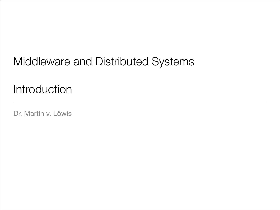## Middleware and Distributed Systems

#### Introduction

Dr. Martin v. Löwis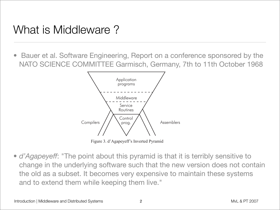## What is Middleware?

• Bauer et al. Software Engineering, Report on a conference sponsored by the NATO SCIENCE COMMITTEE Garmisch, Germany, 7th to 11th October 1968 SENSITIVETOWEAKNESSESINTHESOFTWAREPARTICULARASREGARDSTHEINABILITYTOMAINTAINTHESYSTEMANDTOEXTEND l al. J

*D!GAPEYEFF* !NEXAMPLEOFTHEKINDOFSOFTWARESYSTEM)AMTALKINGABOUTISPUTTINGALLTHEAPPLICATIONSINAHOSPITAL



Figure 3. d'Agapeyeff's Inverted Pyramid

• *d'Agapeyeff*: "The point about this pyramid is that it is terribly sensitive to change in the underlying software such that the new version does not contain the old as a subset. It becomes very expensive to maintain these systems and to extend them while keeping them live." 4HEBUTTRESSESAREASSEMBLERSANDCOMPILERS4HEYDONTHELPTOMAINTAINTHETHINGBUTIFTHEYFAILYOUHAVE n the underlying software such that the new version does hot KIEND TIIENTI WHIIE KEEPING TIENTI IIVE.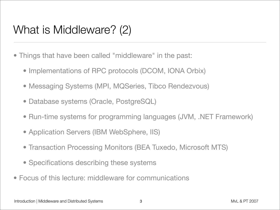## What is Middleware? (2)

- Things that have been called "middleware" in the past:
	- Implementations of RPC protocols (DCOM, IONA Orbix)
	- Messaging Systems (MPI, MQSeries, Tibco Rendezvous)
	- Database systems (Oracle, PostgreSQL)
	- Run-time systems for programming languages (JVM, .NET Framework)
	- Application Servers (IBM WebSphere, IIS)
	- Transaction Processing Monitors (BEA Tuxedo, Microsoft MTS)
	- Specifications describing these systems
- Focus of this lecture: middleware for communications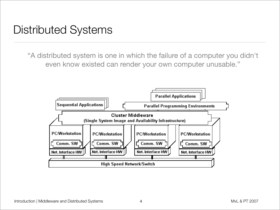#### Distributed Systems

"A distributed system is one in which the failure of a computer you didn't even know existed can render your own computer unusable."

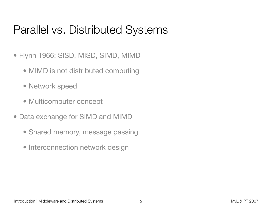## Parallel vs. Distributed Systems

- Flynn 1966: SISD, MISD, SIMD, MIMD
	- MIMD is not distributed computing
	- Network speed
	- Multicomputer concept
- Data exchange for SIMD and MIMD
	- Shared memory, message passing
	- Interconnection network design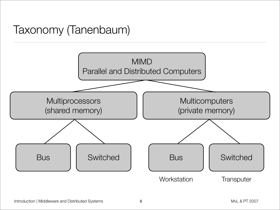# Taxonomy (Tanenbaum)

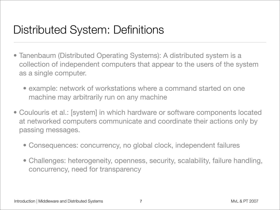## Distributed System: Definitions

- Tanenbaum (Distributed Operating Systems): A distributed system is a collection of independent computers that appear to the users of the system as a single computer.
	- example: network of workstations where a command started on one machine may arbitrarily run on any machine
- Coulouris et al.: [system] in which hardware or software components located at networked computers communicate and coordinate their actions only by passing messages.
	- Consequences: concurrency, no global clock, independent failures
	- Challenges: heterogeneity, openness, security, scalability, failure handling, concurrency, need for transparency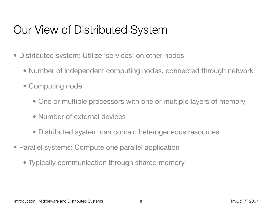## Our View of Distributed System

- Distributed system: Utilize 'services' on other nodes
	- Number of independent computing nodes, connected through network
	- Computing node
		- One or multiple processors with one or multiple layers of memory
		- Number of external devices
		- Distributed system can contain heterogeneous resources
- Parallel systems: Compute one parallel application
	- Typically communication through shared memory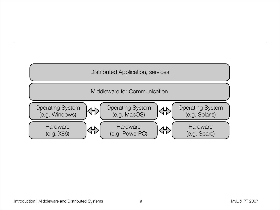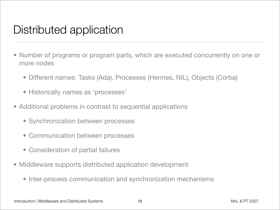### Distributed application

- Number of programs or program parts, which are executed concurrently on one or more nodes
	- Different names: Tasks (Ada), Processes (Hermes, NIL), Objects (Corba)
	- Historically names as 'processes'
- Additional problems in contrast to sequential applications
	- Synchronization between processes
	- Communication between processes
	- Consideration of partial failures
- Middleware supports distributed application development
	- Inter-process communication and synchronization mechanisms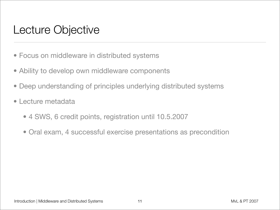#### Lecture Objective

- Focus on middleware in distributed systems
- Ability to develop own middleware components
- Deep understanding of principles underlying distributed systems
- Lecture metadata
	- 4 SWS, 6 credit points, registration until 10.5.2007
	- Oral exam, 4 successful exercise presentations as precondition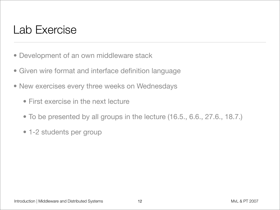#### Lab Exercise

- Development of an own middleware stack
- Given wire format and interface definition language
- New exercises every three weeks on Wednesdays
	- First exercise in the next lecture
	- To be presented by all groups in the lecture (16.5., 6.6., 27.6., 18.7.)
	- 1-2 students per group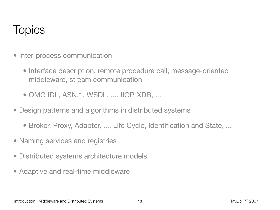#### **Topics**

- Inter-process communication
	- Interface description, remote procedure call, message-oriented middleware, stream communication
	- OMG IDL, ASN.1, WSDL, ..., IIOP, XDR, ...
- Design patterns and algorithms in distributed systems
	- Broker, Proxy, Adapter, ..., Life Cycle, Identification and State, ...
- Naming services and registries
- Distributed systems architecture models
- Adaptive and real-time middleware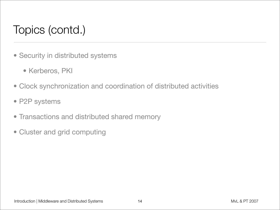# Topics (contd.)

- Security in distributed systems
	- Kerberos, PKI
- Clock synchronization and coordination of distributed activities
- P2P systems
- Transactions and distributed shared memory
- Cluster and grid computing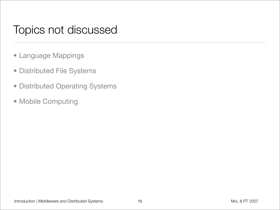#### Topics not discussed

- Language Mappings
- Distributed File Systems
- Distributed Operating Systems
- Mobile Computing